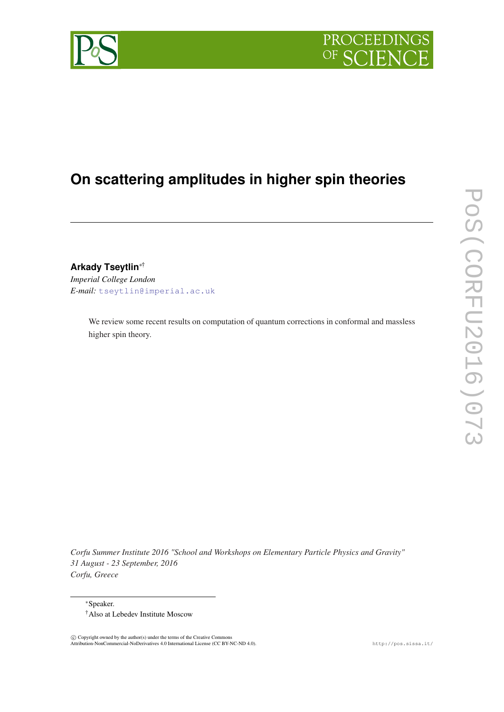



# **On scattering amplitudes in higher spin theories**

**Arkady Tseytlin**∗† *Imperial College London*

*E-mail:* [tseytlin@imperial.ac.uk](mailto:tseytlin@imperial.ac.uk)

We review some recent results on computation of quantum corrections in conformal and massless higher spin theory.

*Corfu Summer Institute 2016 "School and Workshops on Elementary Particle Physics and Gravity" 31 August - 23 September, 2016 Corfu, Greece*

<sup>∗</sup>Speaker.

†Also at Lebedev Institute Moscow

 $\odot$  Copyright owned by the author(s) under the terms of the Creative Commons Attribution-NonCommercial-NoDerivatives 4.0 International License (CC BY-NC-ND 4.0). http://pos.sissa.it/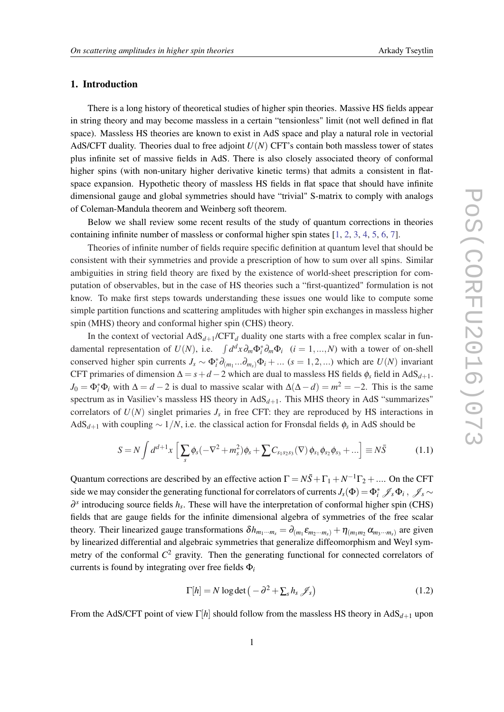## <span id="page-1-0"></span>1. Introduction

There is a long history of theoretical studies of higher spin theories. Massive HS fields appear in string theory and may become massless in a certain "tensionless" limit (not well defined in flat space). Massless HS theories are known to exist in AdS space and play a natural role in vectorial AdS/CFT duality. Theories dual to free adjoint *U*(*N*) CFT's contain both massless tower of states plus infinite set of massive fields in AdS. There is also closely associated theory of conformal higher spins (with non-unitary higher derivative kinetic terms) that admits a consistent in flatspace expansion. Hypothetic theory of massless HS fields in flat space that should have infinite dimensional gauge and global symmetries should have "trivial" S-matrix to comply with analogs of Coleman-Mandula theorem and Weinberg soft theorem.

Below we shall review some recent results of the study of quantum corrections in theories containing infinite number of massless or conformal higher spin states [\[1](#page-8-0), [2](#page-8-0), [3](#page-8-0), [4](#page-8-0), [5](#page-8-0), [6](#page-8-0), [7\]](#page-8-0).

Theories of infinite number of fields require specific definition at quantum level that should be consistent with their symmetries and provide a prescription of how to sum over all spins. Similar ambiguities in string field theory are fixed by the existence of world-sheet prescription for computation of observables, but in the case of HS theories such a "first-quantized" formulation is not know. To make first steps towards understanding these issues one would like to compute some simple partition functions and scattering amplitudes with higher spin exchanges in massless higher spin (MHS) theory and conformal higher spin (CHS) theory.

In the context of vectorial  $AdS_{d+1}/CFT_d$  duality one starts with a free complex scalar in fundamental representation of  $U(N)$ , i.e.  $\int d^d x \partial_m \Phi_i^* \partial_m \Phi_i$  (*i* = 1,...,*N*) with a tower of on-shell conserved higher spin currents  $J_s \sim \Phi_i^* \partial_{(m_1} \dots \partial_{m_s)} \Phi_i + \dots$  ( $s = 1, 2, \dots$ ) which are  $U(N)$  invariant CFT primaries of dimension  $\Delta = s + d - 2$  which are dual to massless HS fields  $\phi_s$  field in AdS<sub>*d*+1</sub>.  $J_0 = \Phi_i^* \Phi_i$  with  $\Delta = d - 2$  is dual to massive scalar with  $\Delta(\Delta - d) = m^2 = -2$ . This is the same spectrum as in Vasiliev's massless HS theory in  $AdS_{d+1}$ . This MHS theory in AdS "summarizes" correlators of  $U(N)$  singlet primaries  $J_s$  in free CFT: they are reproduced by HS interactions in AdS*d*+<sup>1</sup> with coupling ∼ 1/*N*, i.e. the classical action for Fronsdal fields φ*<sup>s</sup>* in AdS should be

$$
S = N \int d^{d+1}x \left[ \sum_{s} \phi_s (-\nabla^2 + m_s^2) \phi_s + \sum C_{s_1 s_2 s_3} (\nabla) \phi_{s_1} \phi_{s_2} \phi_{s_3} + \ldots \right] \equiv N \bar{S}
$$
 (1.1)

Quantum corrections are described by an effective action  $\Gamma = N\bar{S} + \Gamma_1 + N^{-1}\Gamma_2 + \dots$  On the CFT side we may consider the generating functional for correlators of currents  $J_s(\Phi) = \Phi_i^* \mathscr{J}_s \Phi_i$ ,  $\mathscr{J}_s \sim$ ∂ *s* introducing source fields *h<sup>s</sup>* . These will have the interpretation of conformal higher spin (CHS) fields that are gauge fields for the infinite dimensional algebra of symmetries of the free scalar theory. Their linearized gauge transformations  $\delta h_{m_1\cdots m_s} = \partial_{(m_1} \varepsilon_{m_2\cdots m_s)} + \eta_{(m_1m_2} \alpha_{m_3\cdots m_s)}$  are given by linearized differential and algebraic symmetries that generalize diffeomorphism and Weyl symmetry of the conformal *C* <sup>2</sup> gravity. Then the generating functional for connected correlators of currents is found by integrating over free fields Φ*<sup>i</sup>*

$$
\Gamma[h] = N \log \det \left( -\partial^2 + \sum_{s} h_s \mathcal{J}_s \right) \tag{1.2}
$$

From the AdS/CFT point of view Γ[*h*] should follow from the massless HS theory in AdS*d*+<sup>1</sup> upon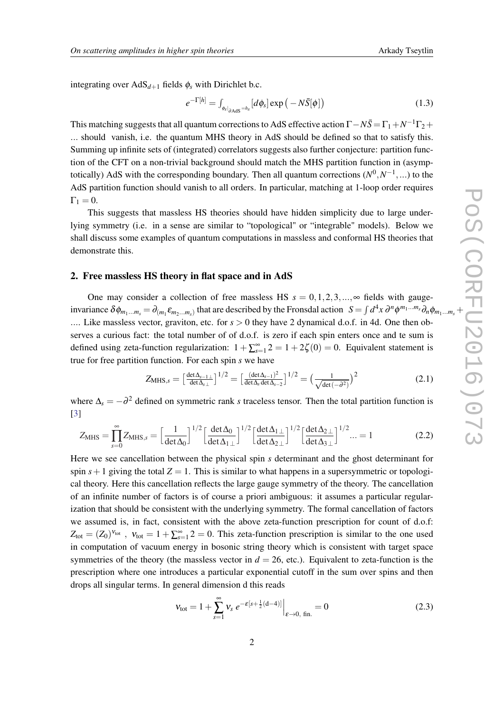<span id="page-2-0"></span>integrating over  $AdS_{d+1}$  fields  $\phi_s$  with Dirichlet b.c.

$$
e^{-\Gamma[h]} = \int_{\phi_s|_{\partial \text{AdS}}=h_s} [d\phi_s] \exp\left(-N\bar{S}[\phi]\right) \tag{1.3}
$$

This matching suggests that all quantum corrections to AdS effective action  $\Gamma - N\bar{S} = \Gamma_1 + N^{-1}\Gamma_2 +$ ... should vanish, i.e. the quantum MHS theory in AdS should be defined so that to satisfy this. Summing up infinite sets of (integrated) correlators suggests also further conjecture: partition function of the CFT on a non-trivial background should match the MHS partition function in (asymptotically) AdS with the corresponding boundary. Then all quantum corrections  $(N^0, N^{-1}, ...)$  to the AdS partition function should vanish to all orders. In particular, matching at 1-loop order requires  $\Gamma_1 = 0.$ 

This suggests that massless HS theories should have hidden simplicity due to large underlying symmetry (i.e. in a sense are similar to "topological" or "integrable" models). Below we shall discuss some examples of quantum computations in massless and conformal HS theories that demonstrate this.

# 2. Free massless HS theory in flat space and in AdS

One may consider a collection of free massless HS  $s = 0, 1, 2, 3, \dots$ , $\infty$  fields with gaugeinvariance  $\delta\phi_{m_1...m_s} = \partial_{(m_1}\varepsilon_{m_2...m_s)}$  that are described by the Fronsdal action  $S = \int d^4x \,\partial^n\phi^{m_1...m_s}\partial_n\phi_{m_1...m_s} +$ .... Like massless vector, graviton, etc. for  $s > 0$  they have 2 dynamical d.o.f. in 4d. One then observes a curious fact: the total number of of d.o.f. is zero if each spin enters once and te sum is defined using zeta-function regularization:  $1 + \sum_{s=1}^{\infty} 2 = 1 + 2\zeta(0) = 0$ . Equivalent statement is true for free partition function. For each spin *s* we have

$$
Z_{\text{MHS},s} = \left[\frac{\det \Delta_{s-1\perp}}{\det \Delta_{s\perp}}\right]^{1/2} = \left[\frac{(\det \Delta_{s-1})^2}{\det \Delta_s \det \Delta_{s-2}}\right]^{1/2} = \left(\frac{1}{\sqrt{\det(-\partial^2)}}\right)^2 \tag{2.1}
$$

where  $\Delta_s = -\partial^2$  defined on symmetric rank *s* traceless tensor. Then the total partition function is [[3](#page-8-0)]

$$
Z_{\text{MHS}} = \prod_{s=0}^{\infty} Z_{\text{MHS},s} = \left[\frac{1}{\det \Delta_0}\right]^{1/2} \left[\frac{\det \Delta_0}{\det \Delta_1 \perp}\right]^{1/2} \left[\frac{\det \Delta_1 \perp}{\det \Delta_2 \perp}\right]^{1/2} \left[\frac{\det \Delta_2 \perp}{\det \Delta_3 \perp}\right]^{1/2} \dots = 1 \tag{2.2}
$$

Here we see cancellation between the physical spin *s* determinant and the ghost determinant for spin  $s+1$  giving the total  $Z = 1$ . This is similar to what happens in a supersymmetric or topological theory. Here this cancellation reflects the large gauge symmetry of the theory. The cancellation of an infinite number of factors is of course a priori ambiguous: it assumes a particular regularization that should be consistent with the underlying symmetry. The formal cancellation of factors we assumed is, in fact, consistent with the above zeta-function prescription for count of d.o.f:  $Z_{\text{tot}} = (Z_0)^{v_{\text{tot}}}$ ,  $v_{\text{tot}} = 1 + \sum_{s=1}^{\infty} 2 = 0$ . This zeta-function prescription is similar to the one used in computation of vacuum energy in bosonic string theory which is consistent with target space symmetries of the theory (the massless vector in  $d = 26$ , etc.). Equivalent to zeta-function is the prescription where one introduces a particular exponential cutoff in the sum over spins and then drops all singular terms. In general dimension d this reads

$$
v_{\text{tot}} = 1 + \sum_{s=1}^{\infty} v_s e^{-\mathcal{E}[s + \frac{1}{2}(d-4)]} \Big|_{\mathcal{E} \to 0, \text{ fin.}} = 0 \tag{2.3}
$$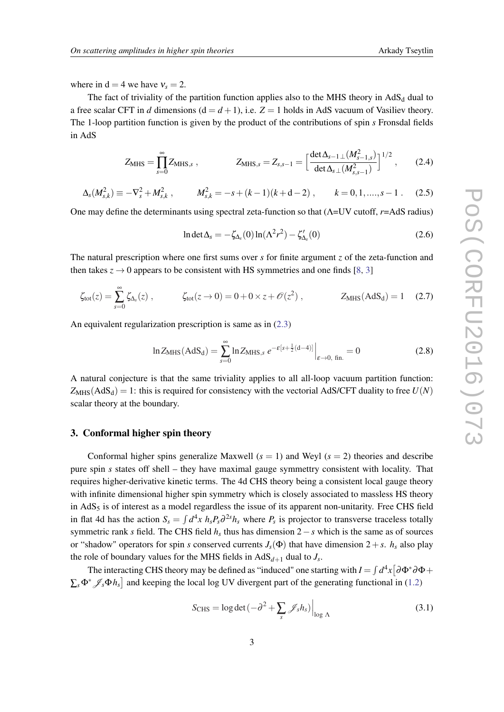where in  $d = 4$  we have  $v_s = 2$ .

The fact of triviality of the partition function applies also to the MHS theory in  $AdS<sub>d</sub>$  dual to a free scalar CFT in *d* dimensions  $(d = d + 1)$ , i.e.  $Z = 1$  holds in AdS vacuum of Vasiliev theory. The 1-loop partition function is given by the product of the contributions of spin *s* Fronsdal fields in AdS

$$
Z_{\text{MHS}} = \prod_{s=0}^{\infty} Z_{\text{MHS},s} , \qquad Z_{\text{MHS},s} = Z_{s,s-1} = \left[ \frac{\det \Delta_{s-1\perp} (M_{s-1,s}^2)}{\det \Delta_{s\perp} (M_{s,s-1}^2)} \right]^{1/2} , \qquad (2.4)
$$

$$
\Delta_s(M_{s,k}^2) \equiv -\nabla_s^2 + M_{s,k}^2, \qquad M_{s,k}^2 = -s + (k-1)(k+d-2), \qquad k = 0, 1, \dots, s-1. \tag{2.5}
$$

One may define the determinants using spectral zeta-function so that (Λ=UV cutoff, *r*=AdS radius)

$$
\ln \det \Delta_s = -\zeta_{\Delta_s}(0) \ln(\Lambda^2 r^2) - \zeta'_{\Delta_s}(0) \tag{2.6}
$$

The natural prescription where one first sums over *s* for finite argument *z* of the zeta-function and then takes  $z \to 0$  appears to be consistent with HS symmetries and one finds [\[8,](#page-8-0) [3](#page-8-0)]

$$
\zeta_{\text{tot}}(z) = \sum_{s=0}^{\infty} \zeta_{\Delta_s}(z) , \qquad \zeta_{\text{tot}}(z \to 0) = 0 + 0 \times z + \mathcal{O}(z^2) , \qquad Z_{\text{MHS}}(\text{AdS}_d) = 1 \quad (2.7)
$$

An equivalent regularization prescription is same as in ([2.3](#page-2-0))

$$
\ln Z_{\text{MHS}}(\text{AdS}_d) = \sum_{s=0}^{\infty} \ln Z_{\text{MHS},s} \, e^{-\varepsilon [s + \frac{1}{2}(d-4)]} \Big|_{\varepsilon \to 0, \text{ fin.}} = 0 \tag{2.8}
$$

A natural conjecture is that the same triviality applies to all all-loop vacuum partition function:  $Z_{MHS}(AdS_d) = 1$ : this is required for consistency with the vectorial AdS/CFT duality to free  $U(N)$ scalar theory at the boundary.

# 3. Conformal higher spin theory

Conformal higher spins generalize Maxwell  $(s = 1)$  and Weyl  $(s = 2)$  theories and describe pure spin *s* states off shell – they have maximal gauge symmettry consistent with locality. That requires higher-derivative kinetic terms. The 4d CHS theory being a consistent local gauge theory with infinite dimensional higher spin symmetry which is closely associated to massless HS theory in  $AdS<sub>5</sub>$  is of interest as a model regardless the issue of its apparent non-unitarity. Free CHS field in flat 4d has the action  $S_s = \int d^4x h_s P_s \partial^{2s} h_s$  where  $P_s$  is projector to transverse traceless totally symmetric rank *s* field. The CHS field  $h_s$  thus has dimension 2 − *s* which is the same as of sources or "shadow" operators for spin *s* conserved currents  $J_s(\Phi)$  that have dimension  $2+s$ .  $h_s$  also play the role of boundary values for the MHS fields in  $AdS_{d+1}$  dual to  $J_s$ .

The interacting CHS theory may be defined as "induced" one starting with  $I = \int d^4x [\partial \Phi^* \partial \Phi +$  $\sum_{s} \Phi^* \mathcal{J}_s \Phi h_s$  and keeping the local log UV divergent part of the generating functional in ([1.2\)](#page-1-0)

$$
S_{\text{CHS}} = \log \det \left( -\partial^2 + \sum_{s} \mathcal{J}_s h_s \right) \Big|_{\log \Lambda} \tag{3.1}
$$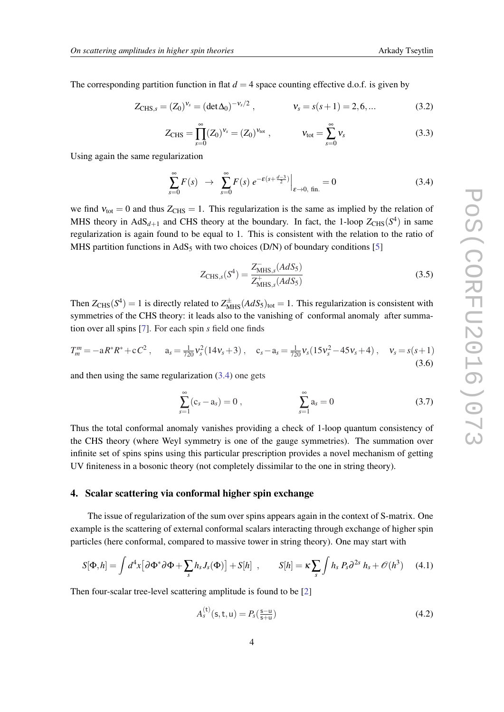<span id="page-4-0"></span>The corresponding partition function in flat  $d = 4$  space counting effective d.o.f. is given by

$$
Z_{CHS,s} = (Z_0)^{v_s} = (\det \Delta_0)^{-v_s/2}, \qquad \qquad v_s = s(s+1) = 2, 6, \dots \qquad (3.2)
$$

$$
Z_{\text{CHS}} = \prod_{s=0}^{\infty} (Z_0)^{v_s} = (Z_0)^{v_{\text{tot}}}, \qquad v_{\text{tot}} = \sum_{s=0}^{\infty} v_s \qquad (3.3)
$$

Using again the same regularization

$$
\sum_{s=0}^{\infty} F(s) \rightarrow \sum_{s=0}^{\infty} F(s) e^{-\mathcal{E}(s + \frac{d-3}{2})} \Big|_{\varepsilon \to 0, \text{ fin.}} = 0 \tag{3.4}
$$

we find  $v_{\text{tot}} = 0$  and thus  $Z_{\text{CHS}} = 1$ . This regularization is the same as implied by the relation of MHS theory in  $AdS_{d+1}$  and CHS theory at the boundary. In fact, the 1-loop  $Z_{CHS}(S^4)$  in same regularization is again found to be equal to 1. This is consistent with the relation to the ratio of MHS partition functions in AdS<sub>5</sub> with two choices (D/N) of boundary conditions [\[5\]](#page-8-0)

$$
Z_{\text{CHS},s}(S^4) = \frac{Z_{\text{MHS},s}^-(AdS_5)}{Z_{\text{MHS},s}^+(AdS_5)}\tag{3.5}
$$

Then  $Z_{CHS}(S^4) = 1$  is directly related to  $Z_{MHS}^{\pm}(AdS_5)_{tot} = 1$ . This regularization is consistent with symmetries of the CHS theory: it leads also to the vanishing of conformal anomaly after summation over all spins [\[7\]](#page-8-0). For each spin *s* field one finds

$$
T_m^m = -aR^*R^* + cC^2, \qquad a_s = \frac{1}{720}v_s^2(14v_s + 3), \qquad c_s - a_s = \frac{1}{720}v_s(15v_s^2 - 45v_s + 4), \qquad v_s = s(s+1)
$$
\n(3.6)

and then using the same regularization (3.4) one gets

$$
\sum_{s=1}^{\infty} (c_s - a_s) = 0 , \qquad \sum_{s=1}^{\infty} a_s = 0
$$
 (3.7)

Thus the total conformal anomaly vanishes providing a check of 1-loop quantum consistency of the CHS theory (where Weyl symmetry is one of the gauge symmetries). The summation over infinite set of spins spins using this particular prescription provides a novel mechanism of getting UV finiteness in a bosonic theory (not completely dissimilar to the one in string theory).

# 4. Scalar scattering via conformal higher spin exchange

The issue of regularization of the sum over spins appears again in the context of S-matrix. One example is the scattering of external conformal scalars interacting through exchange of higher spin particles (here conformal, compared to massive tower in string theory). One may start with

$$
S[\Phi,h] = \int d^4x \big[ \partial \Phi^* \partial \Phi + \sum_s h_s J_s(\Phi) \big] + S[h] \quad , \qquad S[h] = \kappa \sum_s \int h_s P_s \partial^{2s} h_s + \mathcal{O}(h^3) \tag{4.1}
$$

Then four-scalar tree-level scattering amplitude is found to be [\[2\]](#page-8-0)

$$
A_s^{(t)}(s, t, u) = P_s(\frac{s - u}{s + u})
$$
\n(4.2)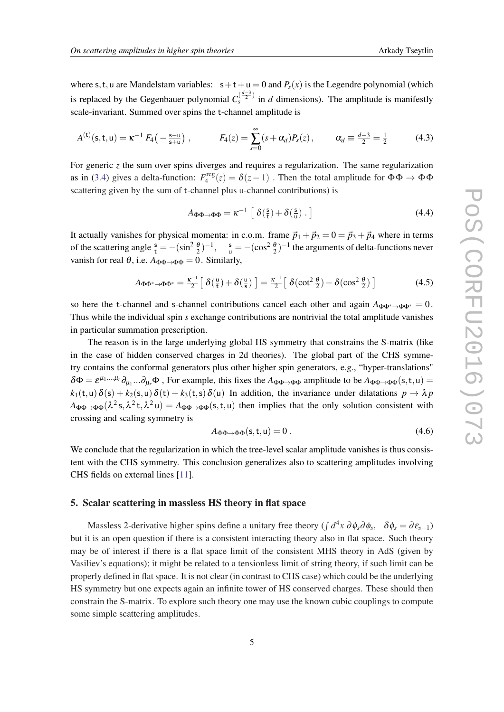where s, t, u are Mandelstam variables:  $s+t+u = 0$  and  $P_s(x)$  is the Legendre polynomial (which is replaced by the Gegenbauer polynomial  $C_s^{(\frac{d-3}{2})}$  in *d* dimensions). The amplitude is manifestly scale-invariant. Summed over spins the t-channel amplitude is

$$
A^{(t)}(s,t,u) = \kappa^{-1} F_4\left(-\frac{s-u}{s+u}\right), \qquad F_4(z) = \sum_{s=0}^{\infty} (s+\alpha_d) P_s(z), \qquad \alpha_d \equiv \frac{d-3}{2} = \frac{1}{2} \qquad (4.3)
$$

For generic *z* the sum over spins diverges and requires a regularization. The same regularization as in ([3.4](#page-4-0)) gives a delta-function:  $F_4^{\text{reg}}$  $\mathcal{L}_4^{\text{reg}}(z) = \delta(z-1)$ . Then the total amplitude for  $\Phi \Phi \to \Phi \Phi$ scattering given by the sum of t-channel plus u-channel contributions) is

$$
A_{\Phi\Phi \to \Phi\Phi} = \kappa^{-1} \left[ \delta\left(\frac{s}{t}\right) + \delta\left(\frac{s}{u}\right) \right] \tag{4.4}
$$

It actually vanishes for physical momenta: in c.o.m. frame  $\vec{p}_1 + \vec{p}_2 = 0 = \vec{p}_3 + \vec{p}_4$  where in terms of the scattering angle  $\frac{s}{t} = -(\sin^2 \frac{\theta}{2})^{-1}$ ,  $\frac{s}{u} = -(\cos^2 \frac{\theta}{2})^{-1}$  the arguments of delta-functions never vanish for real  $\theta$ , i.e.  $A_{\Phi\Phi \to \Phi\Phi} = 0$ . Similarly,

$$
A_{\Phi\Phi^*\to\Phi\Phi^*} = \frac{\kappa^{-1}}{2} \left[ \delta\left(\frac{\mathsf{u}}{\mathsf{t}}\right) + \delta\left(\frac{\mathsf{u}}{\mathsf{s}}\right) \right] = \frac{\kappa^{-1}}{2} \left[ \delta(\cot^2\frac{\theta}{2}) - \delta(\cos^2\frac{\theta}{2}) \right] \tag{4.5}
$$

so here the t-channel and s-channel contributions cancel each other and again  $A_{\Phi\Phi^* \to \Phi\Phi^*} = 0$ . Thus while the individual spin *s* exchange contributions are nontrivial the total amplitude vanishes in particular summation prescription.

The reason is in the large underlying global HS symmetry that constrains the S-matrix (like in the case of hidden conserved charges in 2d theories). The global part of the CHS symmetry contains the conformal generators plus other higher spin generators, e.g., "hyper-translations"  $\delta\Phi = \varepsilon^{\mu_1...\mu_r}\partial_{\mu_1}...\partial_{\mu_r}\Phi$ , For example, this fixes the  $A_{\Phi\Phi\to\Phi\Phi}$  amplitude to be  $A_{\Phi\Phi\to\Phi\Phi}$ (s, t, u) =  $k_1(t, u) \delta(s) + k_2(s, u) \delta(t) + k_3(t, s) \delta(u)$  In addition, the invariance under dilatations  $p \to \lambda p$  $A_{\Phi\Phi\to\Phi\Phi}(\lambda^2 s, \lambda^2 t, \lambda^2 u) = A_{\Phi\Phi\to\Phi\Phi}(s, t, u)$  then implies that the only solution consistent with crossing and scaling symmetry is

$$
A_{\Phi\Phi \to \Phi\Phi}(\mathsf{s}, \mathsf{t}, \mathsf{u}) = 0. \tag{4.6}
$$

We conclude that the regularization in which the tree-level scalar amplitude vanishes is thus consistent with the CHS symmetry. This conclusion generalizes also to scattering amplitudes involving CHS fields on external lines [[11\]](#page-8-0).

#### 5. Scalar scattering in massless HS theory in flat space

Massless 2-derivative higher spins define a unitary free theory ( $\int d^4x \, \partial \phi_s \partial \phi_s$ ,  $\delta \phi_s = \partial \varepsilon_{s-1}$ ) but it is an open question if there is a consistent interacting theory also in flat space. Such theory may be of interest if there is a flat space limit of the consistent MHS theory in AdS (given by Vasiliev's equations); it might be related to a tensionless limit of string theory, if such limit can be properly defined in flat space. It is not clear (in contrast to CHS case) which could be the underlying HS symmetry but one expects again an infinite tower of HS conserved charges. These should then constrain the S-matrix. To explore such theory one may use the known cubic couplings to compute some simple scattering amplitudes.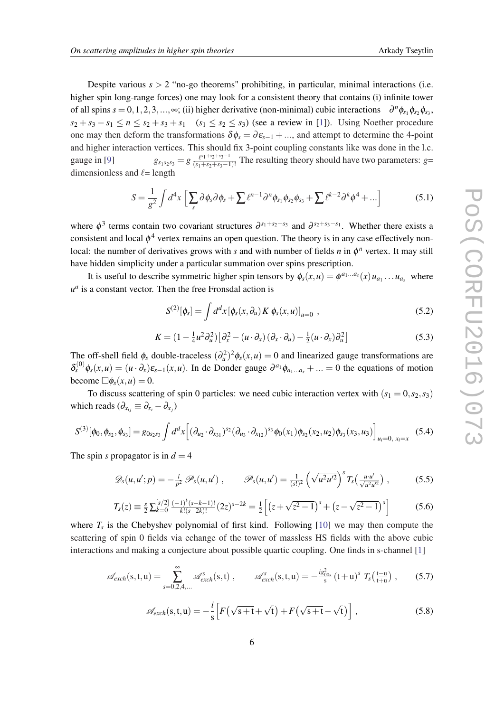Despite various  $s > 2$  "no-go theorems" prohibiting, in particular, minimal interactions (i.e. higher spin long-range forces) one may look for a consistent theory that contains (i) infinite tower of all spins  $s = 0, 1, 2, 3, \ldots, \infty$ ; (ii) higher derivative (non-minimal) cubic interactions  $\partial^n \phi_{s_1} \phi_{s_2} \phi_{s_3}$ ,  $s_2 + s_3 - s_1 \leq n \leq s_2 + s_3 + s_1$   $(s_1 \leq s_2 \leq s_3)$  (see a review in [\[1\]](#page-8-0)). Using Noether procedure one may then deform the transformations  $\delta \phi_s = \partial \varepsilon_{s-1} + ...$ , and attempt to determine the 4-point and higher interaction vertices. This should fix 3-point coupling constants like was done in the l.c. gauge in [\[9\]](#page-8-0)  $g_{s_1 s_2 s_3} = g \frac{\ell^{s_1+s_2+s_3-1}}{(s_1+s_2+s_3-1)}$  $\frac{p_1+3p_2+3p_3-1}{(s_1+s_2+s_3-1)!}$  The resulting theory should have two parameters: *g*= dimensionless and  $\ell$ = length

$$
S = \frac{1}{g^2} \int d^4x \left[ \sum_s \partial \phi_s \partial \phi_s + \sum \ell^{n-1} \partial^n \phi_{s_1} \phi_{s_2} \phi_{s_3} + \sum \ell^{k-2} \partial^k \phi^4 + \ldots \right]
$$
(5.1)

where  $\phi^3$  terms contain two covariant structures  $\partial^{s_1+s_2+s_3}$  and  $\partial^{s_2+s_3-s_1}$ . Whether there exists a consistent and local  $\phi^4$  vertex remains an open question. The theory is in any case effectively nonlocal: the number of derivatives grows with *s* and with number of fields *n* in  $\phi^n$  vertex. It may still have hidden simplicity under a particular summation over spins prescription.

It is useful to describe symmetric higher spin tensors by  $\phi_s(x, u) = \phi^{a_1...a_s}(x) u_{a_1}...u_{a_s}$  where  $u^a$  is a constant vector. Then the free Fronsdal action is

$$
S^{(2)}[\phi_s] = \int d^d x \left[ \phi_s(x, \partial_u) K \phi_s(x, u) \right]_{u=0} , \qquad (5.2)
$$

$$
K = \left(1 - \frac{1}{4}u^2\partial_u^2\right)\left[\partial_x^2 - \left(u \cdot \partial_x\right)\left(\partial_x \cdot \partial_u\right) - \frac{1}{2}\left(u \cdot \partial_x\right)\partial_u^2\right] \tag{5.3}
$$

The off-shell field  $\phi_s$  double-traceless  $(\partial_u^2)^2 \phi_s(x, u) = 0$  and linearized gauge transformations are  $\delta_s^{(0)} \phi_s(x, u) = (u \cdot \partial_x) \varepsilon_{s-1}(x, u)$ . In de Donder gauge  $\partial^{a_1} \phi_{a_1...a_s} + ... = 0$  the equations of motion become  $\Box \phi_s(x, u) = 0$ .

To discuss scattering of spin 0 particles: we need cubic interaction vertex with  $(s_1 = 0, s_2, s_3)$ which reads  $(\partial_{x_{ij}} \equiv \partial_{x_i} - \partial_{x_j})$ 

$$
S^{(3)}[\phi_0, \phi_{s_2}, \phi_{s_3}] = g_{0s_2s_3} \int d^d x \Big[ (\partial_{u_2} \cdot \partial_{x_{31}})^{s_2} (\partial_{u_3} \cdot \partial_{x_{12}})^{s_3} \phi_0(x_1) \phi_{s_2}(x_2, u_2) \phi_{s_3}(x_3, u_3) \Big]_{u_i=0, x_i=x} \tag{5.4}
$$

The spin *s* propagator is in  $d = 4$ 

$$
\mathscr{D}_s(u, u'; p) = -\frac{i}{p^2} \mathscr{P}_s(u, u') , \qquad \mathscr{P}_s(u, u') = \frac{1}{(s!)^2} \left( \sqrt{u^2 u'^2} \right)^s T_s \left( \frac{u \cdot u'}{\sqrt{u^2 u'^2}} \right) , \qquad (5.5)
$$

$$
T_s(z) \equiv \frac{s}{2} \sum_{k=0}^{[s/2]} \frac{(-1)^k (s-k-1)!}{k! (s-2k)!} (2z)^{s-2k} = \frac{1}{2} \left[ \left( z + \sqrt{z^2 - 1} \right)^s + \left( z - \sqrt{z^2 - 1} \right)^s \right] \tag{5.6}
$$

where  $T_s$  is the Chebyshev polynomial of first kind. Following  $[10]$  $[10]$  we may then compute the scattering of spin 0 fields via echange of the tower of massless HS fields with the above cubic interactions and making a conjecture about possible quartic coupling. One finds in s-channel [[1](#page-8-0)]

$$
\mathscr{A}_{exch}(s,t,u) = \sum_{s=0,2,4,...}^{\infty} \mathscr{A}_{exch}^{s}(s,t) , \qquad \mathscr{A}_{exch}^{s}(s,t,u) = -\frac{ig_{00s}^{2}}{s}(t+u)^{s} T_{s}\left(\frac{t-u}{t+u}\right) , \qquad (5.7)
$$

$$
\mathscr{A}_{exch}(s,t,u) = -\frac{i}{s} \Big[ F\left(\sqrt{s+t} + \sqrt{t}\right) + F\left(\sqrt{s+t} - \sqrt{t}\right) \Big],\tag{5.8}
$$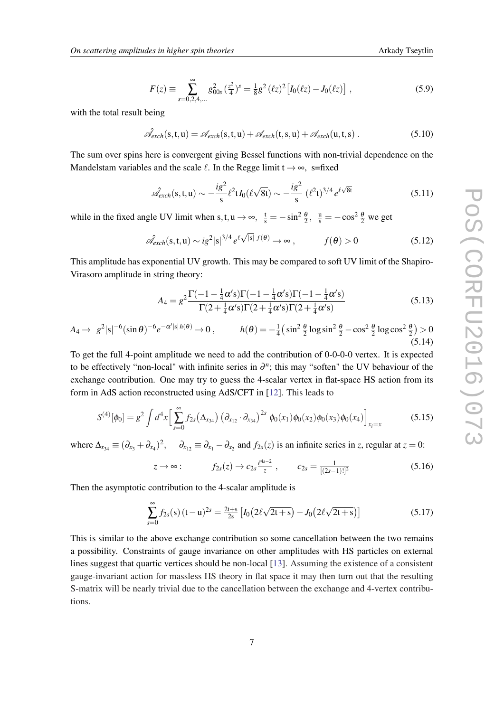$$
F(z) \equiv \sum_{s=0,2,4,...}^{\infty} g_{00s}^2 \left(\frac{z^2}{4}\right)^s = \frac{1}{8} g^2 \left(\ell z\right)^2 \left[I_0(\ell z) - J_0(\ell z)\right],\tag{5.9}
$$

with the total result being

$$
\hat{\mathscr{A}}_{exch}(s,t,u) = \mathscr{A}_{exch}(s,t,u) + \mathscr{A}_{exch}(t,s,u) + \mathscr{A}_{exch}(u,t,s) . \qquad (5.10)
$$

The sum over spins here is convergent giving Bessel functions with non-trivial dependence on the Mandelstam variables and the scale  $\ell$ . In the Regge limit  $t \rightarrow \infty$ , s=fixed

$$
\hat{\mathscr{A}}_{exch}(s,t,u) \sim -\frac{ig^2}{s} \ell^2 t I_0(\ell \sqrt{8t}) \sim -\frac{ig^2}{s} (\ell^2 t)^{3/4} e^{\ell \sqrt{8t}}
$$
(5.11)

while in the fixed angle UV limit when s, t, u  $\rightarrow \infty$ ,  $\frac{t}{s} = -\sin^2 \frac{\theta}{2}$ ,  $\frac{u}{s} = -\cos^2 \frac{\theta}{2}$  we get

$$
\hat{\mathcal{A}}_{exch}(s,t,u) \sim ig^2 |s|^{3/4} e^{\ell \sqrt{|s|}} f(\theta) \to \infty , \qquad f(\theta) > 0 \tag{5.12}
$$

This amplitude has exponential UV growth. This may be compared to soft UV limit of the Shapiro-Virasoro amplitude in string theory:

$$
A_4 = g^2 \frac{\Gamma(-1 - \frac{1}{4}\alpha's)\Gamma(-1 - \frac{1}{4}\alpha's)\Gamma(-1 - \frac{1}{4}\alpha's)}{\Gamma(2 + \frac{1}{4}\alpha's)\Gamma(2 + \frac{1}{4}\alpha's)\Gamma(2 + \frac{1}{4}\alpha's)}
$$
(5.13)

$$
A_4 \to g^2 |\mathbf{s}|^{-6} (\sin \theta)^{-6} e^{-\alpha' |\mathbf{s}| h(\theta)} \to 0, \qquad h(\theta) = -\frac{1}{4} (\sin^2 \frac{\theta}{2} \log \sin^2 \frac{\theta}{2} - \cos^2 \frac{\theta}{2} \log \cos^2 \frac{\theta}{2}) > 0
$$
\n(5.14)

To get the full 4-point amplitude we need to add the contribution of 0-0-0-0 vertex. It is expected to be effectively "non-local" with infinite series in  $\partial^n$ ; this may "soften" the UV behaviour of the exchange contribution. One may try to guess the 4-scalar vertex in flat-space HS action from its form in AdS action reconstructed using AdS/CFT in [[12\]](#page-8-0). This leads to

$$
S^{(4)}[\phi_0] = g^2 \int d^4x \Big[ \sum_{s=0}^{\infty} f_{2s} (\Delta_{x_{34}}) (\partial_{x_{12}} \cdot \partial_{x_{34}})^{2s} \phi_0(x_1) \phi_0(x_2) \phi_0(x_3) \phi_0(x_4) \Big]_{x_i = x}
$$
(5.15)

where  $\Delta_{x_{34}} \equiv (\partial_{x_3} + \partial_{x_4})^2$ ,  $\partial_{x_{12}} \equiv \partial_{x_1} - \partial_{x_2}$  and  $f_{2s}(z)$  is an infinite series in *z*, regular at  $z = 0$ :

$$
z \to \infty: \qquad f_{2s}(z) \to c_{2s} \frac{\ell^{4s-2}}{z} \ , \qquad c_{2s} = \frac{1}{[(2s-1)!]^2} \tag{5.16}
$$

Then the asymptotic contribution to the 4-scalar amplitude is

$$
\sum_{s=0}^{\infty} f_{2s}(s) (t-u)^{2s} = \frac{2t+s}{2s} \left[ I_0 \left( 2\ell \sqrt{2t+s} \right) - J_0 \left( 2\ell \sqrt{2t+s} \right) \right]
$$
(5.17)

This is similar to the above exchange contribution so some cancellation between the two remains a possibility. Constraints of gauge invariance on other amplitudes with HS particles on external lines suggest that quartic vertices should be non-local [[13](#page-8-0)]. Assuming the existence of a consistent gauge-invariant action for massless HS theory in flat space it may then turn out that the resulting S-matrix will be nearly trivial due to the cancellation between the exchange and 4-vertex contributions.